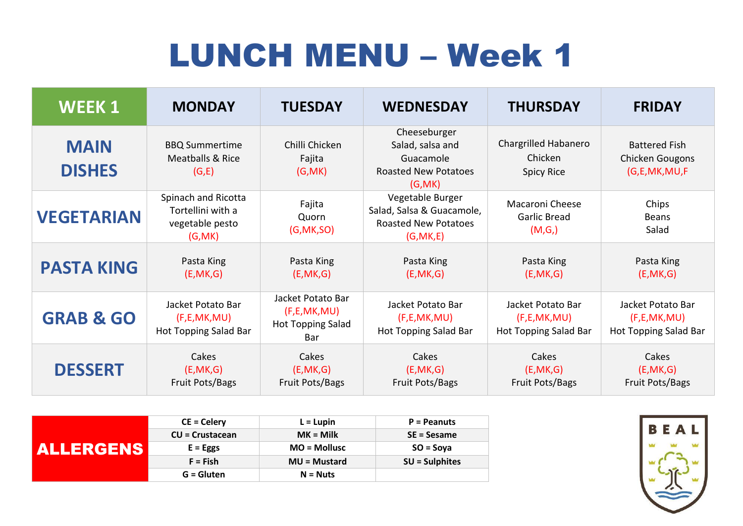## LUNCH MENU – Week 1

| <b>WEEK1</b>                 | <b>MONDAY</b>                                                          | <b>TUESDAY</b>                                                         | <b>WEDNESDAY</b>                                                                           | <b>THURSDAY</b>                                              | <b>FRIDAY</b>                                                |
|------------------------------|------------------------------------------------------------------------|------------------------------------------------------------------------|--------------------------------------------------------------------------------------------|--------------------------------------------------------------|--------------------------------------------------------------|
| <b>MAIN</b><br><b>DISHES</b> | <b>BBQ Summertime</b><br><b>Meatballs &amp; Rice</b><br>(G,E)          | Chilli Chicken<br>Fajita<br>(G, MK)                                    | Cheeseburger<br>Salad, salsa and<br>Guacamole<br><b>Roasted New Potatoes</b><br>(G, MK)    | <b>Chargrilled Habanero</b><br>Chicken<br><b>Spicy Rice</b>  | <b>Battered Fish</b><br>Chicken Gougons<br>(G,E,MK,MU,F      |
| <b>VEGETARIAN</b>            | Spinach and Ricotta<br>Tortellini with a<br>vegetable pesto<br>(G, MK) | Fajita<br>Quorn<br>(G, MK, SO)                                         | Vegetable Burger<br>Salad, Salsa & Guacamole,<br><b>Roasted New Potatoes</b><br>(G, MK, E) | <b>Macaroni Cheese</b><br><b>Garlic Bread</b><br>(M,G)       | Chips<br><b>Beans</b><br>Salad                               |
| <b>PASTA KING</b>            | Pasta King<br>(E, MK, G)                                               | Pasta King<br>(E, MK, G)                                               | Pasta King<br>(E, MK, G)                                                                   | Pasta King<br>(E, MK, G)                                     | Pasta King<br>(E, MK, G)                                     |
| <b>GRAB &amp; GO</b>         | Jacket Potato Bar<br>(F, E, MK, MU)<br>Hot Topping Salad Bar           | Jacket Potato Bar<br>(F, E, MK, MU)<br><b>Hot Topping Salad</b><br>Bar | Jacket Potato Bar<br>(F, E, MK, MU)<br>Hot Topping Salad Bar                               | Jacket Potato Bar<br>(F, E, MK, MU)<br>Hot Topping Salad Bar | Jacket Potato Bar<br>(F, E, MK, MU)<br>Hot Topping Salad Bar |
| <b>DESSERT</b>               | Cakes<br>(E, MK, G)<br><b>Fruit Pots/Bags</b>                          | Cakes<br>(E, MK, G)<br>Fruit Pots/Bags                                 | Cakes<br>(E, MK, G)<br>Fruit Pots/Bags                                                     | Cakes<br>(E, MK, G)<br>Fruit Pots/Bags                       | Cakes<br>(E, MK, G)<br>Fruit Pots/Bags                       |

|                  | $CE = Celery$          | $L = L$ upin   | <b>P</b> = Peanuts |
|------------------|------------------------|----------------|--------------------|
|                  | <b>CU = Crustacean</b> | $MK =$ Milk    | SE = Sesame        |
| <b>ALLERGENS</b> | $E = Eggs$             | $MO = Mollusc$ | $SO = Soya$        |
|                  | $F = Fish$             | MU = Mustard   | $SU =$ Sulphites   |
|                  | $G = Gluten$           | $N = Nuts$     |                    |